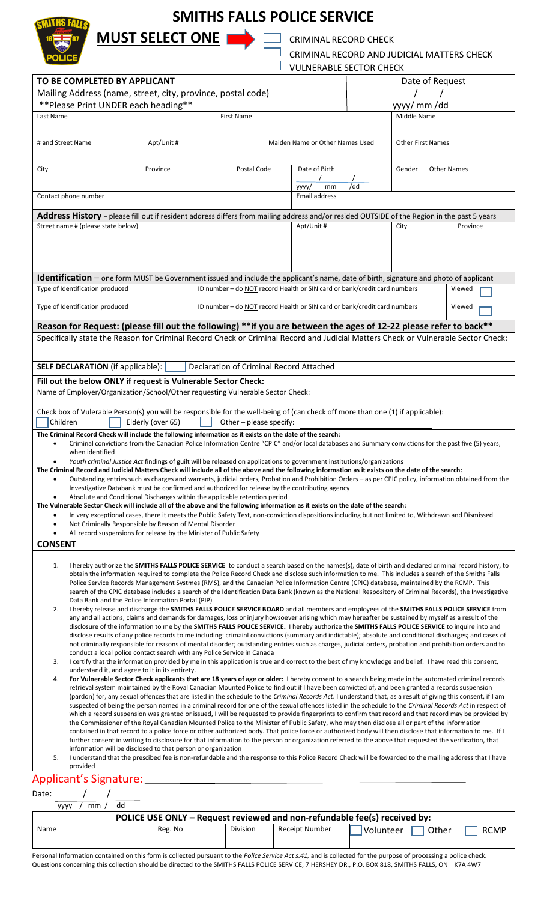## **SMITHS FALLS POLICE SERVICE**

Г



**MUST SELECT ONE CRIMINAL RECORD CHECK** 

| CRIMINAL RECORD AND JUDICIAL MATTERS CHECK |
|--------------------------------------------|
| VULNERABLE SECTOR CHECK                    |

|                                                                                                                                                                                                                                                                                                                                                                                                                                                                                                                                                                                                                                                                                                                                                                                                                                                                                                                                                                                                                                                                                                                                                                                                                                                                                                                                             |                                                                                    | <b>VULIVERADLE JEUTUR UNEUR</b>                             |                  |                    |  |
|---------------------------------------------------------------------------------------------------------------------------------------------------------------------------------------------------------------------------------------------------------------------------------------------------------------------------------------------------------------------------------------------------------------------------------------------------------------------------------------------------------------------------------------------------------------------------------------------------------------------------------------------------------------------------------------------------------------------------------------------------------------------------------------------------------------------------------------------------------------------------------------------------------------------------------------------------------------------------------------------------------------------------------------------------------------------------------------------------------------------------------------------------------------------------------------------------------------------------------------------------------------------------------------------------------------------------------------------|------------------------------------------------------------------------------------|-------------------------------------------------------------|------------------|--------------------|--|
| TO BE COMPLETED BY APPLICANT<br>Mailing Address (name, street, city, province, postal code)                                                                                                                                                                                                                                                                                                                                                                                                                                                                                                                                                                                                                                                                                                                                                                                                                                                                                                                                                                                                                                                                                                                                                                                                                                                 |                                                                                    |                                                             |                  | Date of Request    |  |
| ** Please Print UNDER each heading**                                                                                                                                                                                                                                                                                                                                                                                                                                                                                                                                                                                                                                                                                                                                                                                                                                                                                                                                                                                                                                                                                                                                                                                                                                                                                                        |                                                                                    |                                                             |                  | yyyy/ mm/dd        |  |
| Last Name                                                                                                                                                                                                                                                                                                                                                                                                                                                                                                                                                                                                                                                                                                                                                                                                                                                                                                                                                                                                                                                                                                                                                                                                                                                                                                                                   | <b>First Name</b>                                                                  |                                                             | Middle Name      |                    |  |
|                                                                                                                                                                                                                                                                                                                                                                                                                                                                                                                                                                                                                                                                                                                                                                                                                                                                                                                                                                                                                                                                                                                                                                                                                                                                                                                                             |                                                                                    |                                                             |                  |                    |  |
| Apt/Unit #<br># and Street Name                                                                                                                                                                                                                                                                                                                                                                                                                                                                                                                                                                                                                                                                                                                                                                                                                                                                                                                                                                                                                                                                                                                                                                                                                                                                                                             |                                                                                    | Maiden Name or Other Names Used<br><b>Other First Names</b> |                  |                    |  |
| City<br>Province                                                                                                                                                                                                                                                                                                                                                                                                                                                                                                                                                                                                                                                                                                                                                                                                                                                                                                                                                                                                                                                                                                                                                                                                                                                                                                                            | Postal Code                                                                        | Date of Birth                                               | Gender           | <b>Other Names</b> |  |
|                                                                                                                                                                                                                                                                                                                                                                                                                                                                                                                                                                                                                                                                                                                                                                                                                                                                                                                                                                                                                                                                                                                                                                                                                                                                                                                                             |                                                                                    | уууу/<br>mm                                                 | /dd              |                    |  |
| Contact phone number<br><b>Email address</b>                                                                                                                                                                                                                                                                                                                                                                                                                                                                                                                                                                                                                                                                                                                                                                                                                                                                                                                                                                                                                                                                                                                                                                                                                                                                                                |                                                                                    |                                                             |                  |                    |  |
| Address History - please fill out if resident address differs from mailing address and/or resided OUTSIDE of the Region in the past 5 years                                                                                                                                                                                                                                                                                                                                                                                                                                                                                                                                                                                                                                                                                                                                                                                                                                                                                                                                                                                                                                                                                                                                                                                                 |                                                                                    |                                                             |                  |                    |  |
| Street name # (please state below)                                                                                                                                                                                                                                                                                                                                                                                                                                                                                                                                                                                                                                                                                                                                                                                                                                                                                                                                                                                                                                                                                                                                                                                                                                                                                                          |                                                                                    | Apt/Unit #                                                  | City<br>Province |                    |  |
|                                                                                                                                                                                                                                                                                                                                                                                                                                                                                                                                                                                                                                                                                                                                                                                                                                                                                                                                                                                                                                                                                                                                                                                                                                                                                                                                             |                                                                                    |                                                             |                  |                    |  |
|                                                                                                                                                                                                                                                                                                                                                                                                                                                                                                                                                                                                                                                                                                                                                                                                                                                                                                                                                                                                                                                                                                                                                                                                                                                                                                                                             |                                                                                    |                                                             |                  |                    |  |
|                                                                                                                                                                                                                                                                                                                                                                                                                                                                                                                                                                                                                                                                                                                                                                                                                                                                                                                                                                                                                                                                                                                                                                                                                                                                                                                                             |                                                                                    |                                                             |                  |                    |  |
| Identification - one form MUST be Government issued and include the applicant's name, date of birth, signature and photo of applicant<br>Type of Identification produced<br>ID number - do NOT record Health or SIN card or bank/credit card numbers<br>Viewed                                                                                                                                                                                                                                                                                                                                                                                                                                                                                                                                                                                                                                                                                                                                                                                                                                                                                                                                                                                                                                                                              |                                                                                    |                                                             |                  |                    |  |
| Type of Identification produced                                                                                                                                                                                                                                                                                                                                                                                                                                                                                                                                                                                                                                                                                                                                                                                                                                                                                                                                                                                                                                                                                                                                                                                                                                                                                                             | ID number - do NOT record Health or SIN card or bank/credit card numbers<br>Viewed |                                                             |                  |                    |  |
|                                                                                                                                                                                                                                                                                                                                                                                                                                                                                                                                                                                                                                                                                                                                                                                                                                                                                                                                                                                                                                                                                                                                                                                                                                                                                                                                             |                                                                                    |                                                             |                  |                    |  |
| Reason for Request: (please fill out the following) **if you are between the ages of 12-22 please refer to back**<br>Specifically state the Reason for Criminal Record Check or Criminal Record and Judicial Matters Check or Vulnerable Sector Check:                                                                                                                                                                                                                                                                                                                                                                                                                                                                                                                                                                                                                                                                                                                                                                                                                                                                                                                                                                                                                                                                                      |                                                                                    |                                                             |                  |                    |  |
| <b>SELF DECLARATION</b> (if applicable):<br>Declaration of Criminal Record Attached                                                                                                                                                                                                                                                                                                                                                                                                                                                                                                                                                                                                                                                                                                                                                                                                                                                                                                                                                                                                                                                                                                                                                                                                                                                         |                                                                                    |                                                             |                  |                    |  |
| Fill out the below ONLY if request is Vulnerable Sector Check:                                                                                                                                                                                                                                                                                                                                                                                                                                                                                                                                                                                                                                                                                                                                                                                                                                                                                                                                                                                                                                                                                                                                                                                                                                                                              |                                                                                    |                                                             |                  |                    |  |
| Name of Employer/Organization/School/Other requesting Vulnerable Sector Check:                                                                                                                                                                                                                                                                                                                                                                                                                                                                                                                                                                                                                                                                                                                                                                                                                                                                                                                                                                                                                                                                                                                                                                                                                                                              |                                                                                    |                                                             |                  |                    |  |
| Check box of Vulerable Person(s) you will be responsible for the well-being of (can check off more than one (1) if applicable):<br>Children<br>Elderly (over 65)<br>Other - please specify:                                                                                                                                                                                                                                                                                                                                                                                                                                                                                                                                                                                                                                                                                                                                                                                                                                                                                                                                                                                                                                                                                                                                                 |                                                                                    |                                                             |                  |                    |  |
| The Criminal Record Check will include the following information as it exists on the date of the search:                                                                                                                                                                                                                                                                                                                                                                                                                                                                                                                                                                                                                                                                                                                                                                                                                                                                                                                                                                                                                                                                                                                                                                                                                                    |                                                                                    |                                                             |                  |                    |  |
| Criminal convictions from the Canadian Police Information Centre "CPIC" and/or local databases and Summary convictions for the past five (5) years,<br>when identified                                                                                                                                                                                                                                                                                                                                                                                                                                                                                                                                                                                                                                                                                                                                                                                                                                                                                                                                                                                                                                                                                                                                                                      |                                                                                    |                                                             |                  |                    |  |
| Youth criminal Justice Act findings of guilt will be released on applications to government institutions/organizations<br>The Criminal Record and Judicial Matters Check will include all of the above and the following information as it exists on the date of the search:<br>Outstanding entries such as charges and warrants, judicial orders, Probation and Prohibition Orders - as per CPIC policy, information obtained from the<br>$\bullet$<br>Investigative Databank must be confirmed and authorized for release by the contributing agency                                                                                                                                                                                                                                                                                                                                                                                                                                                                                                                                                                                                                                                                                                                                                                                      |                                                                                    |                                                             |                  |                    |  |
| Absolute and Conditional Discharges within the applicable retention period                                                                                                                                                                                                                                                                                                                                                                                                                                                                                                                                                                                                                                                                                                                                                                                                                                                                                                                                                                                                                                                                                                                                                                                                                                                                  |                                                                                    |                                                             |                  |                    |  |
| The Vulnerable Sector Check will include all of the above and the following information as it exists on the date of the search:<br>In very exceptional cases, there it meets the Public Safety Test, non-conviction dispositions including but not limited to, Withdrawn and Dismissed<br>$\bullet$                                                                                                                                                                                                                                                                                                                                                                                                                                                                                                                                                                                                                                                                                                                                                                                                                                                                                                                                                                                                                                         |                                                                                    |                                                             |                  |                    |  |
| Not Criminally Responsible by Reason of Mental Disorder<br>٠                                                                                                                                                                                                                                                                                                                                                                                                                                                                                                                                                                                                                                                                                                                                                                                                                                                                                                                                                                                                                                                                                                                                                                                                                                                                                |                                                                                    |                                                             |                  |                    |  |
| All record suspensions for release by the Minister of Public Safety<br>$\bullet$                                                                                                                                                                                                                                                                                                                                                                                                                                                                                                                                                                                                                                                                                                                                                                                                                                                                                                                                                                                                                                                                                                                                                                                                                                                            |                                                                                    |                                                             |                  |                    |  |
| <b>CONSENT</b>                                                                                                                                                                                                                                                                                                                                                                                                                                                                                                                                                                                                                                                                                                                                                                                                                                                                                                                                                                                                                                                                                                                                                                                                                                                                                                                              |                                                                                    |                                                             |                  |                    |  |
| I hereby authorize the SMITHS FALLS POLICE SERVICE to conduct a search based on the names(s), date of birth and declared criminal record history, to<br>1.<br>obtain the information required to complete the Police Record Check and disclose such information to me. This includes a search of the Smiths Falls<br>Police Service Records Management Systmes (RMS), and the Canadian Police Information Centre (CPIC) database, maintained by the RCMP. This<br>search of the CPIC database includes a search of the Identification Data Bank (known as the National Respository of Criminal Records), the Investigative<br>Data Bank and the Police Information Portal (PIP)<br>I hereby release and discharge the SMITHS FALLS POLICE SERVICE BOARD and all members and employees of the SMITHS FALLS POLICE SERVICE from<br>2.<br>any and all actions, claims and demands for damages, loss or injury howsoever arising which may hereafter be sustained by myself as a result of the<br>disclosure of the information to me by the SMITHS FALLS POLICE SERVICE. I hereby authorize the SMITHS FALLS POLICE SERVICE to inquire into and                                                                                                                                                                                                |                                                                                    |                                                             |                  |                    |  |
| disclose results of any police records to me including: crimainl convictions (summary and indictable); absolute and conditional discharges; and cases of<br>not criminally responsible for reasons of mental disorder; outstanding entries such as charges, judicial orders, probation and prohibition orders and to<br>conduct a local police contact search with any Police Service in Canada                                                                                                                                                                                                                                                                                                                                                                                                                                                                                                                                                                                                                                                                                                                                                                                                                                                                                                                                             |                                                                                    |                                                             |                  |                    |  |
| I certify that the information provided by me in this application is true and correct to the best of my knowledge and belief. I have read this consent,<br>3.<br>understand it, and agree to it in its entirety.                                                                                                                                                                                                                                                                                                                                                                                                                                                                                                                                                                                                                                                                                                                                                                                                                                                                                                                                                                                                                                                                                                                            |                                                                                    |                                                             |                  |                    |  |
| For Vulnerable Sector Check applicants that are 18 years of age or older: I hereby consent to a search being made in the automated criminal records<br>4.<br>retrieval system maintained by the Royal Canadian Mounted Police to find out if I have been convicted of, and been granted a records suspension<br>(pardon) for, any sexual offences that are listed in the schedule to the Criminal Records Act. I understand that, as a result of giving this consent, if I am<br>suspected of being the person named in a criminal record for one of the sexual offences listed in the schedule to the Criminal Records Act in respect of<br>which a record suspension was granted or issued, I will be requested to provide fingerprints to confirm that record and that record may be provided by<br>the Commissioner of the Royal Canadian Mounted Police to the Minister of Public Safety, who may then disclose all or part of the information<br>contained in that record to a police force or other authorized body. That police force or authorized body will then disclose that information to me. If I<br>further consent in writing to disclosure for that information to the person or organization referred to the above that requested the verification, that<br>information will be disclosed to that person or organization |                                                                                    |                                                             |                  |                    |  |
| I understand that the prescibed fee is non-refundable and the response to this Police Record Check will be fowarded to the mailing address that I have<br>5.<br>provided                                                                                                                                                                                                                                                                                                                                                                                                                                                                                                                                                                                                                                                                                                                                                                                                                                                                                                                                                                                                                                                                                                                                                                    |                                                                                    |                                                             |                  |                    |  |
| Applicant's Signature: ___                                                                                                                                                                                                                                                                                                                                                                                                                                                                                                                                                                                                                                                                                                                                                                                                                                                                                                                                                                                                                                                                                                                                                                                                                                                                                                                  |                                                                                    |                                                             |                  |                    |  |
| Date:                                                                                                                                                                                                                                                                                                                                                                                                                                                                                                                                                                                                                                                                                                                                                                                                                                                                                                                                                                                                                                                                                                                                                                                                                                                                                                                                       |                                                                                    |                                                             |                  |                    |  |
| dd<br>mm<br>yyyy                                                                                                                                                                                                                                                                                                                                                                                                                                                                                                                                                                                                                                                                                                                                                                                                                                                                                                                                                                                                                                                                                                                                                                                                                                                                                                                            |                                                                                    |                                                             |                  |                    |  |

**POLICE USE ONLY – Request reviewed and non-refundable fee(s) received by:**<br>Reg. No Division Receipt Number  $\Box$  Volunteer  $\Box$  ( Name Reg. No Division Receipt Number Volunteer Other RCMP

Personal Information contained on this form is collected pursuant to the *Police Service Act s.41,* and is collected for the purpose of processing a police check. Questions concerning this collection should be directed to the SMITHS FALLS POLICE SERVICE, 7 HERSHEY DR., P.O. BOX 818, SMITHS FALLS, ON K7A 4W7